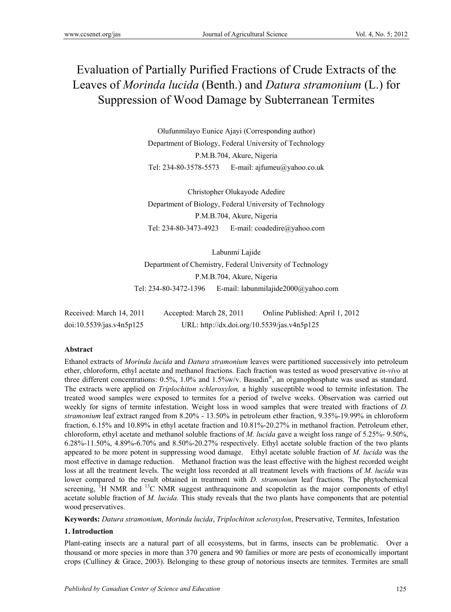# Evaluation of Partially Purified Fractions of Crude Extracts of the Leaves of *Morinda lucida* (Benth.) and *Datura stramonium* (L.) for Suppression of Wood Damage by Subterranean Termites

Olufunmilayo Eunice Ajayi (Corresponding author) Department of Biology, Federal University of Technology P.M.B.704, Akure, Nigeria Tel: 234-80-3578-5573 E-mail: ajfumeu@yahoo.co.uk

Christopher Olukayode Adedire Department of Biology, Federal University of Technology P.M.B.704, Akure, Nigeria Tel: 234-80-3473-4923 E-mail: coadedire@yahoo.com

Labunmi Lajide Department of Chemistry, Federal University of Technology P.M.B.704, Akure, Nigeria Tel: 234-80-3472-1396 E-mail: labunmilajide2000@yahoo.com

| Received: March 14, 2011 | Accepted: March 28, 2011                    | Online Published: April 1, 2012 |
|--------------------------|---------------------------------------------|---------------------------------|
| doi:10.5539/jas.v4n5p125 | URL: http://dx.doi.org/10.5539/jas.v4n5p125 |                                 |

# **Abstract**

Ethanol extracts of *Morinda lucida* and *Datura stramonium* leaves were partitioned successively into petroleum ether, chloroform, ethyl acetate and methanol fractions. Each fraction was tested as wood preservative *in-vivo* at three different concentrations: 0.5%, 1.0% and 1.5%w/v. Basudin®, an organophosphate was used as standard. The extracts were applied on *Triplochiton schleroxylon,* a highly susceptible wood to termite infestation. The treated wood samples were exposed to termites for a period of twelve weeks. Observation was carried out weekly for signs of termite infestation. Weight loss in wood samples that were treated with fractions of *D. stramonium* leaf extract ranged from 8.20% - 13.50% in petroleum ether fraction, 9.35%-19.99% in chloroform fraction, 6.15% and 10.89% in ethyl acetate fraction and 10.81%-20.27% in methanol fraction. Petroleum ether, chloroform, ethyl acetate and methanol soluble fractions of *M. lucida* gave a weight loss range of 5.25%- 9.50%, 6.28%-11.50%, 4.89%-6.70% and 8.50%-20.27% respectively. Ethyl acetate soluble fraction of the two plants appeared to be more potent in suppressing wood damage. Ethyl acetate soluble fraction of *M. lucida* was the most effective in damage reduction. Methanol fraction was the least effective with the highest recorded weight loss at all the treatment levels. The weight loss recorded at all treatment levels with fractions of *M. lucida* was lower compared to the result obtained in treatment with *D. stramonium* leaf fractions. The phytochemical screening, <sup>1</sup>H NMR and <sup>13</sup>C NMR suggest anthraquinone and scopoletin as the major components of ethyl acetate soluble fraction of *M. lucida.* This study reveals that the two plants have components that are potential wood preservatives.

**Keywords:** *Datura stramonium*, *Morinda lucida*, *Triplochiton scleroxylon*, Preservative, Termites, Infestation

#### **1. Introduction**

Plant-eating insects are a natural part of all ecosystems, but in farms, insects can be problematic. Over a thousand or more species in more than 370 genera and 90 families or more are pests of economically important crops (Culliney & Grace, 2003). Belonging to these group of notorious insects are termites. Termites are small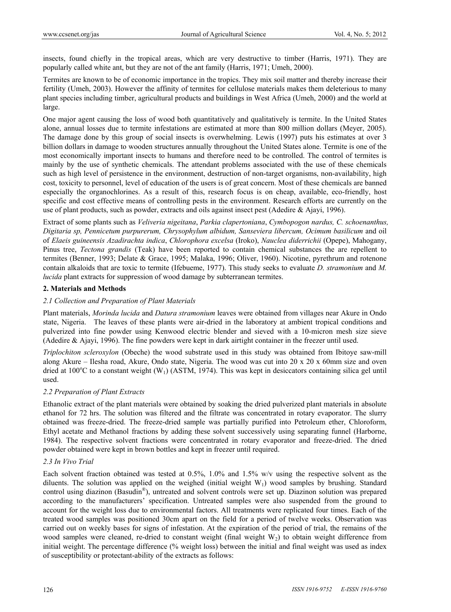insects, found chiefly in the tropical areas, which are very destructive to timber (Harris, 1971). They are popularly called white ant, but they are not of the ant family (Harris, 1971; Umeh, 2000).

Termites are known to be of economic importance in the tropics. They mix soil matter and thereby increase their fertility (Umeh, 2003). However the affinity of termites for cellulose materials makes them deleterious to many plant species including timber, agricultural products and buildings in West Africa (Umeh, 2000) and the world at large.

One major agent causing the loss of wood both quantitatively and qualitatively is termite. In the United States alone, annual losses due to termite infestations are estimated at more than 800 million dollars (Meyer, 2005). The damage done by this group of social insects is overwhelming. Lewis (1997) puts his estimates at over 3 billion dollars in damage to wooden structures annually throughout the United States alone. Termite is one of the most economically important insects to humans and therefore need to be controlled. The control of termites is mainly by the use of synthetic chemicals. The attendant problems associated with the use of these chemicals such as high level of persistence in the environment, destruction of non-target organisms, non-availability, high cost, toxicity to personnel, level of education of the users is of great concern. Most of these chemicals are banned especially the organochlorines. As a result of this, research focus is on cheap, available, eco-friendly, host specific and cost effective means of controlling pests in the environment. Research efforts are currently on the use of plant products, such as powder, extracts and oils against insect pest (Adedire & Ajayi, 1996).

Extract of some plants such as *Veliveria nigeitana*, *Parkia clapertoniana*, *Cymbopogon nardus, C. schoenanthus, Digitaria sp, Pennicetum purpurerum, Chrysophylum albidum, Sanseviera libercum, Ocimum basilicum* and oil of *Elaeis guineensis Azadirachta indica*, *Chlorophora excelsa* (Iroko), *Nauclea diderrichii* (Opepe), Mahogany, Pinus tree, *Tectona grandis* (Teak) have been reported to contain chemical substances the are repellent to termites (Benner, 1993; Delate & Grace, 1995; Malaka, 1996; Oliver, 1960). Nicotine, pyrethrum and rotenone contain alkaloids that are toxic to termite (Ifebueme, 1977). This study seeks to evaluate *D. stramonium* and *M. lucida* plant extracts for suppression of wood damage by subterranean termites.

#### **2. Materials and Methods**

# *2.1 Collection and Preparation of Plant Materials*

Plant materials, *Morinda lucida* and *Datura stramonium* leaves were obtained from villages near Akure in Ondo state, Nigeria. The leaves of these plants were air-dried in the laboratory at ambient tropical conditions and pulverized into fine powder using Kenwood electric blender and sieved with a 10-micron mesh size sieve (Adedire & Ajayi, 1996). The fine powders were kept in dark airtight container in the freezer until used.

*Triplochiton scleroxylon* (Obeche) the wood substrate used in this study was obtained from Ibitoye saw-mill along Akure – Ilesha road, Akure, Ondo state, Nigeria. The wood was cut into 20 x 20 x 60mm size and oven dried at 100°C to a constant weight (W<sub>1</sub>) (ASTM, 1974). This was kept in desiccators containing silica gel until used.

#### *2.2 Preparation of Plant Extracts*

Ethanolic extract of the plant materials were obtained by soaking the dried pulverized plant materials in absolute ethanol for 72 hrs. The solution was filtered and the filtrate was concentrated in rotary evaporator. The slurry obtained was freeze-dried. The freeze-dried sample was partially purified into Petroleum ether, Chloroform, Ethyl acetate and Methanol fractions by adding these solvent successively using separating funnel (Harborne, 1984). The respective solvent fractions were concentrated in rotary evaporator and freeze-dried. The dried powder obtained were kept in brown bottles and kept in freezer until required.

# *2.3 In Vivo Trial*

Each solvent fraction obtained was tested at 0.5%, 1.0% and 1.5% w/v using the respective solvent as the diluents. The solution was applied on the weighed (initial weight  $W_1$ ) wood samples by brushing. Standard control using diazinon (Basudin®), untreated and solvent controls were set up. Diazinon solution was prepared according to the manufacturers' specification. Untreated samples were also suspended from the ground to account for the weight loss due to environmental factors. All treatments were replicated four times. Each of the treated wood samples was positioned 30cm apart on the field for a period of twelve weeks. Observation was carried out on weekly bases for signs of infestation. At the expiration of the period of trial, the remains of the wood samples were cleaned, re-dried to constant weight (final weight  $W<sub>2</sub>$ ) to obtain weight difference from initial weight. The percentage difference (% weight loss) between the initial and final weight was used as index of susceptibility or protectant-ability of the extracts as follows: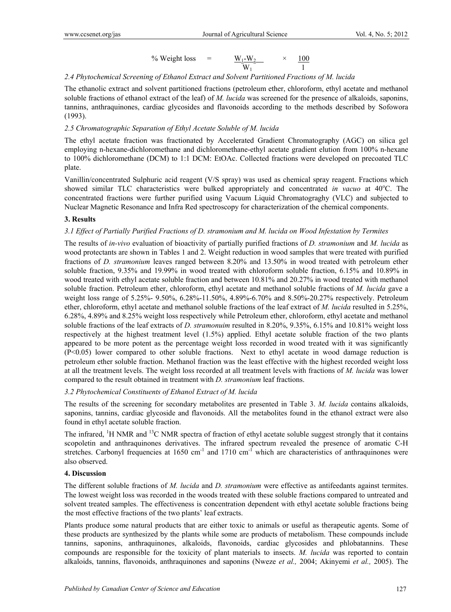$$
\% Weight loss = \frac{W_1-W_2}{W_1} \times \frac{100}{1}
$$

### *2.4 Phytochemical Screening of Ethanol Extract and Solvent Partitioned Fractions of M. lucida*

The ethanolic extract and solvent partitioned fractions (petroleum ether, chloroform, ethyl acetate and methanol soluble fractions of ethanol extract of the leaf) of *M. lucida* was screened for the presence of alkaloids, saponins, tannins, anthraquinones, cardiac glycosides and flavonoids according to the methods described by Sofowora (1993).

### *2.5 Chromatographic Separation of Ethyl Acetate Soluble of M. lucida*

The ethyl acetate fraction was fractionated by Accelerated Gradient Chromatography (AGC) on silica gel employing n-hexane-dichloromethane and dichloromethane-ethyl acetate gradient elution from 100% n-hexane to 100% dichloromethane (DCM) to 1:1 DCM: EtOAc. Collected fractions were developed on precoated TLC plate.

Vanillin/concentrated Sulphuric acid reagent (V/S spray) was used as chemical spray reagent. Fractions which showed similar TLC characteristics were bulked appropriately and concentrated *in vacuo* at 40°C. The concentrated fractions were further purified using Vacuum Liquid Chromatograghy (VLC) and subjected to Nuclear Magnetic Resonance and Infra Red spectroscopy for characterization of the chemical components.

# **3. Results**

# *3.1 Effect of Partially Purified Fractions of D. stramonium and M. lucida on Wood Infestation by Termites*

The results of *in-vivo* evaluation of bioactivity of partially purified fractions of *D. stramonium* and *M. lucida* as wood protectants are shown in Tables 1 and 2. Weight reduction in wood samples that were treated with purified fractions of *D. stramonium* leaves ranged between 8.20% and 13.50% in wood treated with petroleum ether soluble fraction, 9.35% and 19.99% in wood treated with chloroform soluble fraction, 6.15% and 10.89% in wood treated with ethyl acetate soluble fraction and between 10.81% and 20.27% in wood treated with methanol soluble fraction. Petroleum ether, chloroform, ethyl acetate and methanol soluble fractions of *M. lucida* gave a weight loss range of 5.25%- 9.50%, 6.28%-11.50%, 4.89%-6.70% and 8.50%-20.27% respectively. Petroleum ether, chloroform, ethyl acetate and methanol soluble fractions of the leaf extract of *M. lucida* resulted in 5.25%, 6.28%, 4.89% and 8.25% weight loss respectively while Petroleum ether, chloroform, ethyl acetate and methanol soluble fractions of the leaf extracts of *D. stramonuim* resulted in 8.20%, 9.35%, 6.15% and 10.81% weight loss respectively at the highest treatment level (1.5%) applied. Ethyl acetate soluble fraction of the two plants appeared to be more potent as the percentage weight loss recorded in wood treated with it was significantly (P<0.05) lower compared to other soluble fractions. Next to ethyl acetate in wood damage reduction is petroleum ether soluble fraction. Methanol fraction was the least effective with the highest recorded weight loss at all the treatment levels. The weight loss recorded at all treatment levels with fractions of *M. lucida* was lower compared to the result obtained in treatment with *D. stramonium* leaf fractions.

#### *3.2 Phytochemical Constituents of Ethanol Extract of M. lucida*

The results of the screening for secondary metabolites are presented in Table 3. *M. lucida* contains alkaloids, saponins, tannins, cardiac glycoside and flavonoids. All the metabolites found in the ethanol extract were also found in ethyl acetate soluble fraction.

The infrared,  ${}^{1}$ H NMR and  ${}^{13}$ C NMR spectra of fraction of ethyl acetate soluble suggest strongly that it contains scopoletin and anthraquinones derivatives. The infrared spectrum revealed the presence of aromatic C-H stretches. Carbonyl frequencies at 1650 cm<sup>-1</sup> and 1710 cm<sup>-1</sup> which are characteristics of anthraquinones were also observed.

#### **4. Discussion**

The different soluble fractions of *M. lucida* and *D. stramonium* were effective as antifeedants against termites. The lowest weight loss was recorded in the woods treated with these soluble fractions compared to untreated and solvent treated samples. The effectiveness is concentration dependent with ethyl acetate soluble fractions being the most effective fractions of the two plants' leaf extracts.

Plants produce some natural products that are either toxic to animals or useful as therapeutic agents. Some of these products are synthesized by the plants while some are products of metabolism. These compounds include tannins, saponins, anthraquinones, alkaloids, flavonoids, cardiac glycosides and phlobatannins. These compounds are responsible for the toxicity of plant materials to insects. *M. lucida* was reported to contain alkaloids, tannins, flavonoids, anthraquinones and saponins (Nweze *et al.,* 2004; Akinyemi *et al.,* 2005). The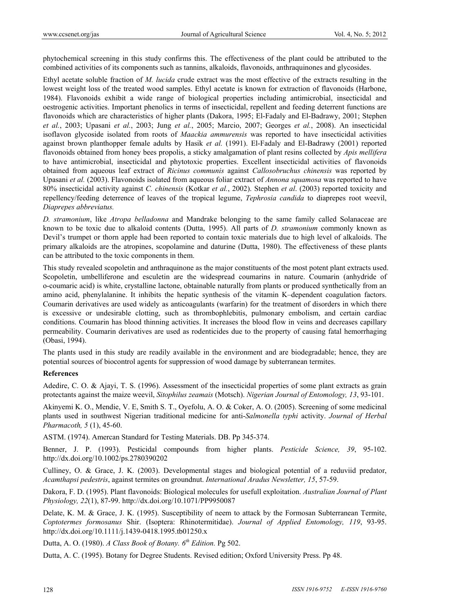phytochemical screening in this study confirms this. The effectiveness of the plant could be attributed to the combined activities of its components such as tannins, alkaloids, flavonoids, anthraquinones and glycosides.

Ethyl acetate soluble fraction of *M. lucida* crude extract was the most effective of the extracts resulting in the lowest weight loss of the treated wood samples. Ethyl acetate is known for extraction of flavonoids (Harbone, 1984). Flavonoids exhibit a wide range of biological properties including antimicrobial, insecticidal and oestrogenic activities. Important phenolics in terms of insecticidal, repellent and feeding deterrent functions are flavonoids which are characteristics of higher plants (Dakora, 1995; El-Fadaly and El-Badrawy, 2001; Stephen *et al.*, 2003; Upasani *et al.*, 2003; Jung *et al.*, 2005; Marcio, 2007; Georges *et al.*, 2008). An insecticidal isoflavon glycoside isolated from roots of *Maackia ammurensis* was reported to have insecticidal activities against brown planthopper female adults by Hasik *et al.* (1991). El-Fadaly and El-Badrawy (2001) reported flavonoids obtained from honey bees propolis, a sticky amalgamation of plant resins collected by *Apis mellifera*  to have antimicrobial, insecticidal and phytotoxic properties. Excellent insecticidal activities of flavonoids obtained from aqueous leaf extract of *Ricinus communis* against *Callosobruchus chinensis* was reported by Upasani *et al.* (2003). Flavonoids isolated from aqueous foliar extract of *Annona squamosa* was reported to have 80% insecticidal activity against *C. chinensis* (Kotkar *et al.*, 2002). Stephen *et al*. (2003) reported toxicity and repellency/feeding deterrence of leaves of the tropical legume, *Tephrosia candida* to diaprepes root weevil, *Diaprepes abbreviatus.*

*D. stramonium*, like *Atropa belladonna* and Mandrake belonging to the same family called Solanaceae are known to be toxic due to alkaloid contents (Dutta, 1995). All parts of *D. stramonium* commonly known as Devil's trumpet or thorn apple had been reported to contain toxic materials due to high level of alkaloids. The primary alkaloids are the atropines, scopolamine and daturine (Dutta, 1980). The effectiveness of these plants can be attributed to the toxic components in them.

This study revealed scopoletin and anthraquinone as the major constituents of the most potent plant extracts used. Scopoletin, umbelliferone and esculetin are the widespread coumarins in nature. Coumarin (anhydride of o-coumaric acid) is white, crystalline lactone, obtainable naturally from plants or produced synthetically from an amino acid, phenylalanine. It inhibits the hepatic synthesis of the vitamin K–dependent coagulation factors. Coumarin derivatives are used widely as anticoagulants (warfarin) for the treatment of disorders in which there is excessive or undesirable clotting, such as thrombophlebitis, pulmonary embolism, and certain cardiac conditions. Coumarin has blood thinning activities. It increases the blood flow in veins and decreases capillary permeability. Coumarin derivatives are used as rodenticides due to the property of causing fatal hemorrhaging (Obasi, 1994).

The plants used in this study are readily available in the environment and are biodegradable; hence, they are potential sources of biocontrol agents for suppression of wood damage by subterranean termites.

#### **References**

Adedire, C. O. & Ajayi, T. S. (1996). Assessment of the insecticidal properties of some plant extracts as grain protectants against the maize weevil, *Sitophilus zeamais* (Motsch). *Nigerian Journal of Entomology, 13*, 93-101.

Akinyemi K. O., Mendie, V. E, Smith S. T., Oyefolu, A. O. & Coker, A. O. (2005). Screening of some medicinal plants used in southwest Nigerian traditional medicine for anti-*Salmonella typhi* activity. *Journal of Herbal Pharmacoth, 5* (1), 45-60.

ASTM. (1974). Amercan Standard for Testing Materials. DB. Pp 345-374.

Benner, J. P. (1993). Pesticidal compounds from higher plants. *Pesticide Science, 39*, 95-102. http://dx.doi.org/10.1002/ps.2780390202

Culliney, O. & Grace, J. K. (2003). Developmental stages and biological potential of a reduviid predator, *Acamthapsi pedestris*, against termites on groundnut. *International Aradus Newsletter, 15*, 57-59.

Dakora, F. D. (1995). Plant flavonoids: Biological molecules for usefull exploitation. *Australian Journal of Plant Physiology, 22*(1), 87-99. http://dx.doi.org/10.1071/PP9950087

Delate, K. M. & Grace, J. K. (1995). Susceptibility of neem to attack by the Formosan Subterranean Termite, *Coptotermes formosanus* Shir. (Isoptera: Rhinotermitidae). *Journal of Applied Entomology, 119*, 93-95. http://dx.doi.org/10.1111/j.1439-0418.1995.tb01250.x

Dutta, A. O. (1980). *A Class Book of Botany. 6th Edition.* Pg 502.

Dutta, A. C. (1995). Botany for Degree Students. Revised edition; Oxford University Press. Pp 48.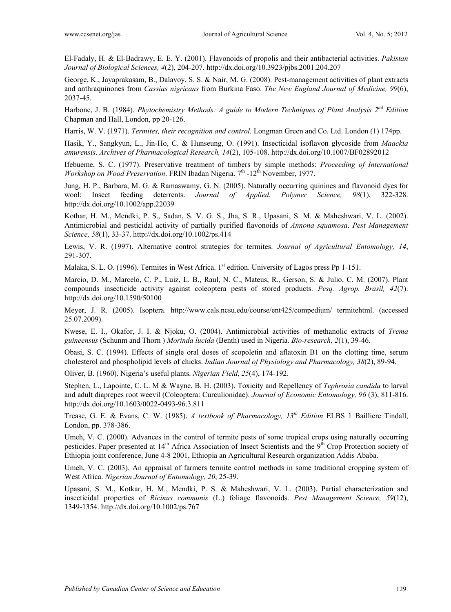El-Fadaly, H. & El-Badrawy, E. E. Y. (2001). Flavonoids of propolis and their antibacterial activities. *Pakistan Journal of Biological Sciences, 4*(2), 204-207. http://dx.doi.org/10.3923/pjbs.2001.204.207

George, K., Jayaprakasam, B., Dalavoy, S. S. & Nair, M. G. (2008). Pest-management activities of plant extracts and anthraquinones from *Cassias nigricans* from Burkina Faso. *The New England Journal of Medicine, 99*(6), 2037-45.

Harbone, J. B. (1984). *Phytochemistry Methods: A guide to Modern Techniques of Plant Analysis 2nd Edition* Chapman and Hall, London, pp 20-126.

Harris, W. V. (1971). *Termites, their recognition and control.* Longman Green and Co. Ltd. London (1) 174pp.

Hasik, Y., Sangkyun, L., Jin-Ho, C. & Hunseung, O. (1991). Insecticidal isoflavon glycoside from *Maackia amurensis*. *Archives of Pharmacological Research, 14*(2), 105-108. http://dx.doi.org/10.1007/BF02892012

Ifebueme, S. C. (1977). Preservative treatment of timbers by simple methods: *Proceeding of International Workshop on Wood Preservation*. FRIN Ibadan Nigeria. 7<sup>th</sup> -12<sup>th</sup> November, 1977.

Jung, H. P., Barbara, M. G. & Ramaswamy, G. N. (2005). Naturally occurring quinines and flavonoid dyes for wool: Insect feeding deterrents. *Journal of Applied. Polymer Science, 98*(1), 322-328. http://dx.doi.org/10.1002/app.22039

Kothar, H. M., Mendki, P. S., Sadan, S. V. G. S., Jha, S. R., Upasani, S. M. & Maheshwari, V. L. (2002). Antimicrobial and pesticidal activity of partially purified flavonoids of *Annona squamosa*. *Pest Management Science, 58*(1), 33-37. http://dx.doi.org/10.1002/ps.414

Lewis, V. R. (1997). Alternative control strategies for termites. *Journal of Agricultural Entomology, 14*, 291-307.

Malaka, S. L. O. (1996). Termites in West Africa.  $1<sup>st</sup>$  edition. University of Lagos press Pp 1-151.

Marcio, D. M., Marcelo, C. P., Luiz, L. B., Raul, N. C., Mateus, R., Gerson, S. & Julio, C. M. (2007). Plant compounds insecticide activity against coleoptera pests of stored products. *Pesq. Agrop. Brasil, 42*(7). http://dx.doi.org/10.1590/50100

Meyer, J. R. (2005). Isoptera. http://www.cals.ncsu.edu/course/ent425/compedium/ termitehtml. (accessed 25.07.2009).

Nwese, E. I., Okafor, J. I. & Njoku, O. (2004). Antimicrobial activities of methanolic extracts of *Trema guineensus* (Schunm and Thorn ) *Morinda lucida* (Benth) used in Nigeria. *Bio-research, 2*(1), 39-46.

Obasi, S. C. (1994). Effects of single oral doses of scopoletin and aflatoxin B1 on the clotting time, serum cholesterol and phospholipid levels of chicks. *Indian Journal of Physiology and Pharmacology, 38*(2), 89-94.

Oliver, B. (1960). Nigeria's useful plants. *Nigerian Field*, *25*(4), 174-192.

Stephen, L., Lapointe, C. L. M & Wayne, B. H. (2003). Toxicity and Repellency of *Tephrosia candida* to larval and adult diaprepes root weevil (Coleoptera: Curculionidae). *Journal of Economic Entomology, 96* (3), 811-816. http://dx.doi.org/10.1603/0022-0493-96.3.811

Trease, G. E. & Evans, C. W. (1985). *A textbook of Pharmacology, 13th Edition* ELBS 1 Bailliere Tindall, London, pp. 378-386.

Umeh, V. C. (2000). Advances in the control of termite pests of some tropical crops using naturally occurring pesticides. Paper presented at 14<sup>th</sup> Africa Association of Insect Scientists and the 9<sup>th</sup> Crop Protection society of Ethiopia joint conference, June 4-8 2001, Ethiopia an Agricultural Research organization Addis Ababa.

Umeh, V. C. (2003). An appraisal of farmers termite control methods in some traditional cropping system of West Africa. *Nigerian Journal of Entomology, 20*, 25-39.

Upasani, S. M., Kotkar, H. M., Mendki, P. S. & Maheshwari, V. L. (2003). Partial characterization and insecticidal properties of *Ricinus communis* (L.) foliage flavonoids. *Pest Management Science, 59*(12), 1349-1354. http://dx.doi.org/10.1002/ps.767